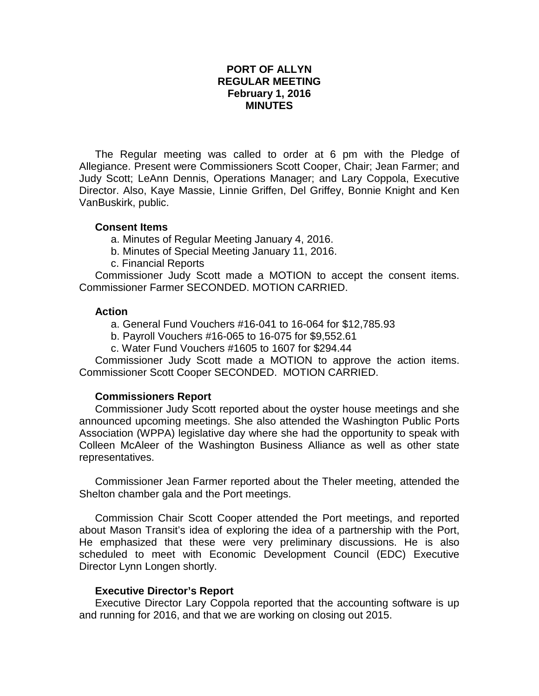# **PORT OF ALLYN REGULAR MEETING February 1, 2016 MINUTES**

The Regular meeting was called to order at 6 pm with the Pledge of Allegiance. Present were Commissioners Scott Cooper, Chair; Jean Farmer; and Judy Scott; LeAnn Dennis, Operations Manager; and Lary Coppola, Executive Director. Also, Kaye Massie, Linnie Griffen, Del Griffey, Bonnie Knight and Ken VanBuskirk, public.

### **Consent Items**

- a. Minutes of Regular Meeting January 4, 2016.
- b. Minutes of Special Meeting January 11, 2016.
- c. Financial Reports

Commissioner Judy Scott made a MOTION to accept the consent items. Commissioner Farmer SECONDED. MOTION CARRIED.

### **Action**

a. General Fund Vouchers #16-041 to 16-064 for \$12,785.93

- b. Payroll Vouchers #16-065 to 16-075 for \$9,552.61
- c. Water Fund Vouchers #1605 to 1607 for \$294.44

Commissioner Judy Scott made a MOTION to approve the action items. Commissioner Scott Cooper SECONDED. MOTION CARRIED.

# **Commissioners Report**

Commissioner Judy Scott reported about the oyster house meetings and she announced upcoming meetings. She also attended the Washington Public Ports Association (WPPA) legislative day where she had the opportunity to speak with Colleen McAleer of the Washington Business Alliance as well as other state representatives.

Commissioner Jean Farmer reported about the Theler meeting, attended the Shelton chamber gala and the Port meetings.

Commission Chair Scott Cooper attended the Port meetings, and reported about Mason Transit's idea of exploring the idea of a partnership with the Port, He emphasized that these were very preliminary discussions. He is also scheduled to meet with Economic Development Council (EDC) Executive Director Lynn Longen shortly.

# **Executive Director's Report**

Executive Director Lary Coppola reported that the accounting software is up and running for 2016, and that we are working on closing out 2015.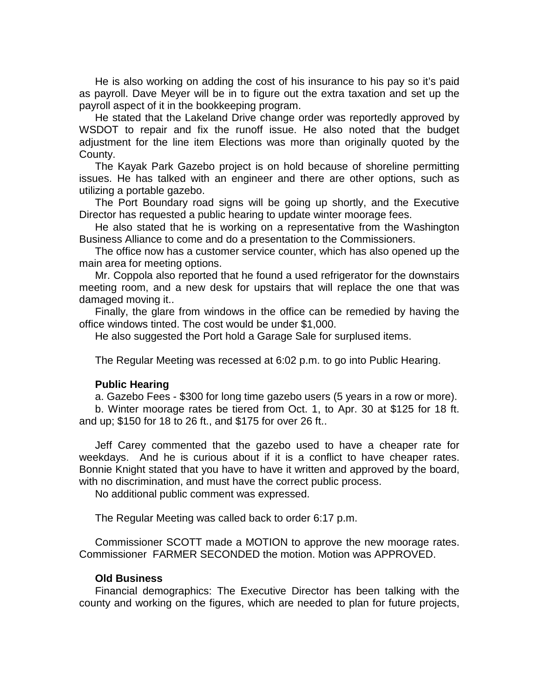He is also working on adding the cost of his insurance to his pay so it's paid as payroll. Dave Meyer will be in to figure out the extra taxation and set up the payroll aspect of it in the bookkeeping program.

He stated that the Lakeland Drive change order was reportedly approved by WSDOT to repair and fix the runoff issue. He also noted that the budget adjustment for the line item Elections was more than originally quoted by the County.

The Kayak Park Gazebo project is on hold because of shoreline permitting issues. He has talked with an engineer and there are other options, such as utilizing a portable gazebo.

The Port Boundary road signs will be going up shortly, and the Executive Director has requested a public hearing to update winter moorage fees.

He also stated that he is working on a representative from the Washington Business Alliance to come and do a presentation to the Commissioners.

The office now has a customer service counter, which has also opened up the main area for meeting options.

Mr. Coppola also reported that he found a used refrigerator for the downstairs meeting room, and a new desk for upstairs that will replace the one that was damaged moving it..

Finally, the glare from windows in the office can be remedied by having the office windows tinted. The cost would be under \$1,000.

He also suggested the Port hold a Garage Sale for surplused items.

The Regular Meeting was recessed at 6:02 p.m. to go into Public Hearing.

#### **Public Hearing**

a. Gazebo Fees - \$300 for long time gazebo users (5 years in a row or more).

b. Winter moorage rates be tiered from Oct. 1, to Apr. 30 at \$125 for 18 ft. and up; \$150 for 18 to 26 ft., and \$175 for over 26 ft..

Jeff Carey commented that the gazebo used to have a cheaper rate for weekdays. And he is curious about if it is a conflict to have cheaper rates. Bonnie Knight stated that you have to have it written and approved by the board, with no discrimination, and must have the correct public process.

No additional public comment was expressed.

The Regular Meeting was called back to order 6:17 p.m.

Commissioner SCOTT made a MOTION to approve the new moorage rates. Commissioner FARMER SECONDED the motion. Motion was APPROVED.

#### **Old Business**

Financial demographics: The Executive Director has been talking with the county and working on the figures, which are needed to plan for future projects,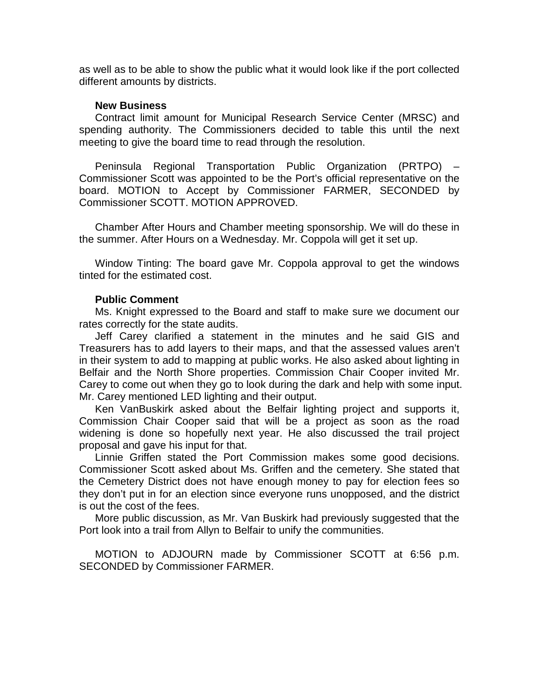as well as to be able to show the public what it would look like if the port collected different amounts by districts.

#### **New Business**

Contract limit amount for Municipal Research Service Center (MRSC) and spending authority. The Commissioners decided to table this until the next meeting to give the board time to read through the resolution.

Peninsula Regional Transportation Public Organization (PRTPO) – Commissioner Scott was appointed to be the Port's official representative on the board. MOTION to Accept by Commissioner FARMER, SECONDED by Commissioner SCOTT. MOTION APPROVED.

Chamber After Hours and Chamber meeting sponsorship. We will do these in the summer. After Hours on a Wednesday. Mr. Coppola will get it set up.

Window Tinting: The board gave Mr. Coppola approval to get the windows tinted for the estimated cost.

### **Public Comment**

Ms. Knight expressed to the Board and staff to make sure we document our rates correctly for the state audits.

Jeff Carey clarified a statement in the minutes and he said GIS and Treasurers has to add layers to their maps, and that the assessed values aren't in their system to add to mapping at public works. He also asked about lighting in Belfair and the North Shore properties. Commission Chair Cooper invited Mr. Carey to come out when they go to look during the dark and help with some input. Mr. Carey mentioned LED lighting and their output.

Ken VanBuskirk asked about the Belfair lighting project and supports it, Commission Chair Cooper said that will be a project as soon as the road widening is done so hopefully next year. He also discussed the trail project proposal and gave his input for that.

Linnie Griffen stated the Port Commission makes some good decisions. Commissioner Scott asked about Ms. Griffen and the cemetery. She stated that the Cemetery District does not have enough money to pay for election fees so they don't put in for an election since everyone runs unopposed, and the district is out the cost of the fees.

More public discussion, as Mr. Van Buskirk had previously suggested that the Port look into a trail from Allyn to Belfair to unify the communities.

MOTION to ADJOURN made by Commissioner SCOTT at 6:56 p.m. SECONDED by Commissioner FARMER.